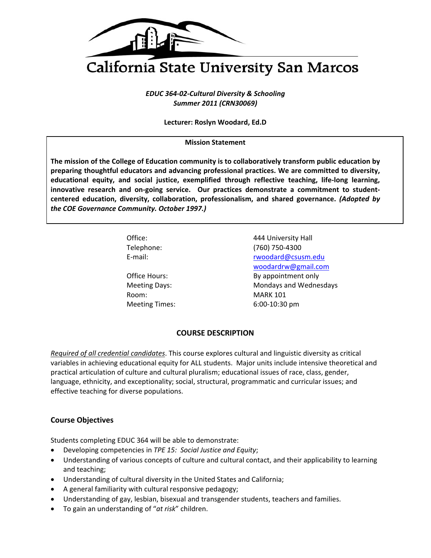

# California State University San Marcos

 *EDUC 364‐02‐Cultural Diversity & Schooling Summer 2011 (CRN30069)*

 **Lecturer: Roslyn Woodard, Ed.D**

## **Mission Statement**

The mission of the College of Education community is to collaboratively transform public education by  **preparing thoughtful educators and advancing professional practices. We are committed to diversity,** educational equity, and social justice, exemplified through reflective teaching, life-long learning, innovative research and on-going service. Our practices demonstrate a commitment to student-  **centered education, diversity, collaboration, professionalism, and shared governance.** *(Adopted by the COE Governance Community. October 1997.)*

| Office:               | 444 University Hall    |
|-----------------------|------------------------|
| Telephone:            | (760) 750-4300         |
| E-mail:               | rwoodard@csusm.edu     |
|                       | woodardrw@gmail.com    |
| Office Hours:         | By appointment only    |
| <b>Meeting Days:</b>  | Mondays and Wednesdays |
| Room:                 | <b>MARK 101</b>        |
| <b>Meeting Times:</b> | 6:00-10:30 pm          |
|                       |                        |

## **COURSE DESCRIPTION**

 *Required of all credential candidates*. This course explores cultural and linguistic diversity as critical variables in achieving educational equity for ALL students. Major units include intensive theoretical and practical articulation of culture and cultural pluralism; educational issues of race, class, gender, language, ethnicity, and exceptionality; social, structural, programmatic and curricular issues; and effective teaching for diverse populations.

# **Course Objectives**

Students completing EDUC 364 will be able to demonstrate:

- Developing competencies in *TPE 15: Social Justice and Equity*;
- Understanding of various concepts of culture and cultural contact, and their applicability to learning and teaching;
- Understanding of cultural diversity in the United States and California;
- A general familiarity with cultural responsive pedagogy;
- Understanding of gay, lesbian, bisexual and transgender students, teachers and families.
- To gain an understanding of "*at risk*" children.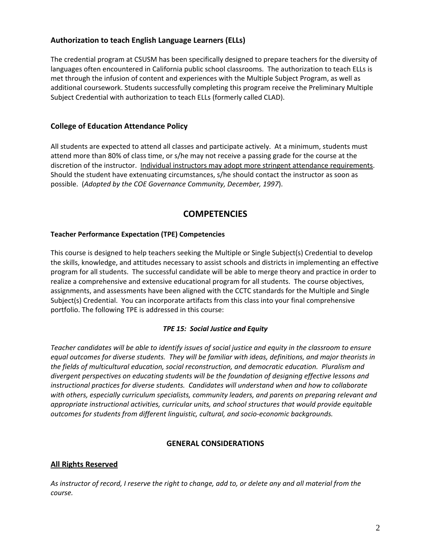# **Authorization to teach English Language Learners (ELLs)**

 The credential program at CSUSM has been specifically designed to prepare teachers for the diversity of languages often encountered in California public school classrooms. The authorization to teach ELLs is met through the infusion of content and experiences with the Multiple Subject Program, as well as additional coursework. Students successfully completing this program receive the Preliminary Multiple Subject Credential with authorization to teach ELLs (formerly called CLAD).

# **College of Education Attendance Policy**

 All students are expected to attend all classes and participate actively. At a minimum, students must attend more than 80% of class time, or s/he may not receive a passing grade for the course at the discretion of the instructor. Individual instructors may adopt more stringent attendance requirements. Should the student have extenuating circumstances, s/he should contact the instructor as soon as  possible. (*Adopted by the COE Governance Community, December, 1997*).

# **COMPETENCIES**

#### **Teacher Performance Expectation (TPE) Competencies**

 This course is designed to help teachers seeking the Multiple or Single Subject(s) Credential to develop the skills, knowledge, and attitudes necessary to assist schools and districts in implementing an effective program for all students. The successful candidate will be able to merge theory and practice in order to realize a comprehensive and extensive educational program for all students. The course objectives, assignments, and assessments have been aligned with the CCTC standards for the Multiple and Single Subject(s) Credential. You can incorporate artifacts from this class into your final comprehensive portfolio. The following TPE is addressed in this course:

## *TPE 15: Social Justice and Equity*

Teacher candidates will be able to identify issues of social justice and equity in the classroom to ensure equal outcomes for diverse students. They will be familiar with ideas, definitions, and major theorists in the fields of multicultural education, social reconstruction, and democratic education. Pluralism and divergent perspectives on educating students will be the foundation of designing effective lessons and instructional practices for diverse students. Candidates will understand when and how to collaborate with others, especially curriculum specialists, community leaders, and parents on preparing relevant and appropriate instructional activities, curricular units, and school structures that would provide equitable  *outcomes for students from different linguistic, cultural, and socio‐economic backgrounds.*

#### **GENERAL CONSIDERATIONS**

# **All Rights Reserved**

As instructor of record, I reserve the right to change, add to, or delete any and all material from the *course.*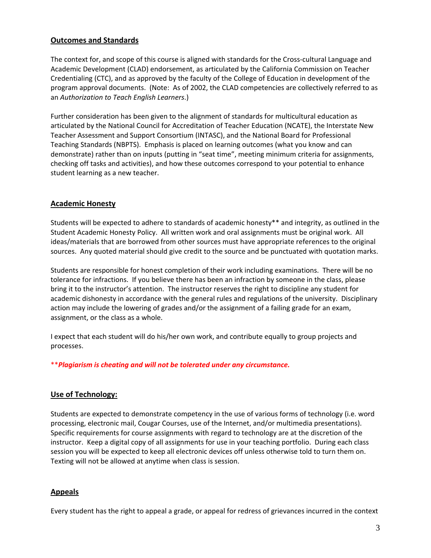# **Outcomes and Standards**

 The context for, and scope of this course is aligned with standards for the Cross‐cultural Language and Academic Development (CLAD) endorsement, as articulated by the California Commission on Teacher Credentialing (CTC), and as approved by the faculty of the College of Education in development of the program approval documents. (Note: As of 2002, the CLAD competencies are collectively referred to as  an *Authorization to Teach English Learners*.)

 Further consideration has been given to the alignment of standards for multicultural education as articulated by the National Council for Accreditation of Teacher Education (NCATE), the Interstate New Teacher Assessment and Support Consortium (INTASC), and the National Board for Professional Teaching Standards (NBPTS). Emphasis is placed on learning outcomes (what you know and can demonstrate) rather than on inputs (putting in "seat time", meeting minimum criteria for assignments, checking off tasks and activities), and how these outcomes correspond to your potential to enhance student learning as a new teacher.

## **Academic Honesty**

 Students will be expected to adhere to standards of academic honesty\*\* and integrity, as outlined in the Student Academic Honesty Policy. All written work and oral assignments must be original work. All ideas/materials that are borrowed from other sources must have appropriate references to the original sources. Any quoted material should give credit to the source and be punctuated with quotation marks.

 Students are responsible for honest completion of their work including examinations. There will be no tolerance for infractions. If you believe there has been an infraction by someone in the class, please bring it to the instructor's attention. The instructor reserves the right to discipline any student for academic dishonesty in accordance with the general rules and regulations of the university. Disciplinary action may include the lowering of grades and/or the assignment of a failing grade for an exam, assignment, or the class as a whole.

 I expect that each student will do his/her own work, and contribute equally to group projects and processes.

 \*\**Plagiarism is cheating and will not be tolerated under any circumstance.*

## **Use of Technology:**

 Students are expected to demonstrate competency in the use of various forms of technology (i.e. word processing, electronic mail, Cougar Courses, use of the Internet, and/or multimedia presentations). Specific requirements for course assignments with regard to technology are at the discretion of the instructor. Keep a digital copy of all assignments for use in your teaching portfolio. During each class session you will be expected to keep all electronic devices off unless otherwise told to turn them on. Texting will not be allowed at anytime when class is session.

#### **Appeals**

Every student has the right to appeal a grade, or appeal for redress of grievances incurred in the context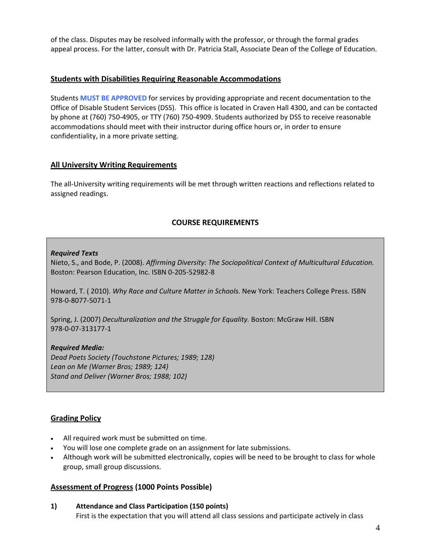of the class. Disputes may be resolved informally with the professor, or through the formal grades appeal process. For the latter, consult with Dr. Patricia Stall, Associate Dean of the College of Education.

# **Students with Disabilities Requiring Reasonable Accommodations**

 Students **MUST BE APPROVED** for services by providing appropriate and recent documentation to the Office of Disable Student Services (DSS). This office is located in Craven Hall 4300, and can be contacted by phone at (760) 750‐4905, or TTY (760) 750‐4909. Students authorized by DSS to receive reasonable accommodations should meet with their instructor during office hours or, in order to ensure confidentiality, in a more private setting.

# **All University Writing Requirements**

 The all‐University writing requirements will be met through written reactions and reflections related to assigned readings.

# **COURSE REQUIREMENTS**

# *Required Texts*

  Nieto, S., and Bode, P. (2008). *Affirming Diversity: The Sociopolitical Context of Multicultural Education.* Boston: Pearson Education, Inc. ISBN 0‐205‐52982‐8

  Howard, T. ( 2010). *Why Race and Culture Matter in Schools.* New York: Teachers College Press. ISBN 978‐0‐8077‐5071‐1

  Spring, J. (2007) *Deculturalization and the Struggle for Equality.* Boston: McGraw Hill. ISBN 978‐0‐07‐313177‐1

# *Required Media:*

 *Dead Poets Society (Touchstone Pictures; 1989; 128) Lean on Me (Warner Bros; 1989; 124) Stand and Deliver (Warner Bros; 1988; 102)*

## **Grading Policy**

- All required work must be submitted on time.
- You will lose one complete grade on an assignment for late submissions.
- Although work will be submitted electronically, copies will be need to be brought to class for whole group, small group discussions.

## **Assessment of Progress (1000 Points Possible)**

 **1) Attendance and Class Participation (150 points)** First is the expectation that you will attend all class sessions and participate actively in class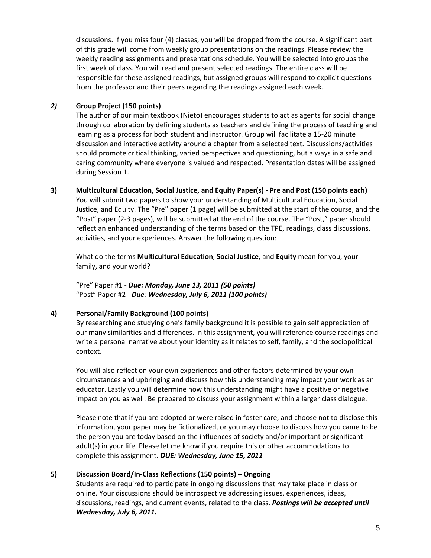discussions. If you miss four (4) classes, you will be dropped from the course. A significant part of this grade will come from weekly group presentations on the readings. Please review the weekly reading assignments and presentations schedule. You will be selected into groups the first week of class. You will read and present selected readings. The entire class will be responsible for these assigned readings, but assigned groups will respond to explicit questions from the professor and their peers regarding the readings assigned each week.

## *2)* **Group Project (150 points)**

 The author of our main textbook (Nieto) encourages students to act as agents for social change through collaboration by defining students as teachers and defining the process of teaching and learning as a process for both student and instructor. Group will facilitate a 15‐20 minute discussion and interactive activity around a chapter from a selected text. Discussions/activities should promote critical thinking, varied perspectives and questioning, but always in a safe and caring community where everyone is valued and respected. Presentation dates will be assigned during Session 1.

## 3) Multicultural Education, Social Justice, and Equity Paper(s) - Pre and Post (150 points each)

 You will submit two papers to show your understanding of Multicultural Education, Social Justice, and Equity. The "Pre" paper (1 page) will be submitted at the start of the course, and the "Post" paper (2‐3 pages), will be submitted at the end of the course. The "Post," paper should reflect an enhanced understanding of the terms based on the TPE, readings, class discussions, activities, and your experiences. Answer the following question:

 What do the terms **Multicultural Education**, **Social Justice**, and **Equity** mean for you, your family, and your world?

  "Pre" Paper #1 ‐ *Due: Monday, June 13, 2011 (50 points)*  "Post" Paper #2 ‐ *Due: Wednesday, July 6, 2011 (100 points)*

#### **4) Personal/Family Background (100 points)**

 By researching and studying one's family background it is possible to gain self appreciation of our many similarities and differences. In this assignment, you will reference course readings and write a personal narrative about your identity as it relates to self, family, and the sociopolitical context.

 You will also reflect on your own experiences and other factors determined by your own circumstances and upbringing and discuss how this understanding may impact your work as an educator. Lastly you will determine how this understanding might have a positive or negative impact on you as well. Be prepared to discuss your assignment within a larger class dialogue.

 Please note that if you are adopted or were raised in foster care, and choose not to disclose this information, your paper may be fictionalized, or you may choose to discuss how you came to be the person you are today based on the influences of society and/or important or significant adult(s) in your life. Please let me know if you require this or other accommodations to  complete this assignment. *DUE: Wednesday, June 15, 2011*

## **5) Discussion Board/In‐Class Reflections (150 points) – Ongoing**

 Students are required to participate in ongoing discussions that may take place in class or online. Your discussions should be introspective addressing issues, experiences, ideas,  discussions, readings, and current events, related to the class. *Postings will be accepted until Wednesday, July 6, 2011.*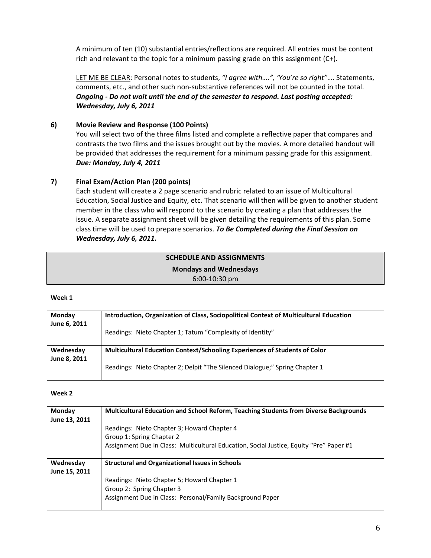A minimum of ten (10) substantial entries/reflections are required. All entries must be content rich and relevant to the topic for a minimum passing grade on this assignment (C+).

  LET ME BE CLEAR: Personal notes to students, *"I agree with….", 'You're so right"*…. Statements, comments, etc., and other such non‐substantive references will not be counted in the total. Ongoing - Do not wait until the end of the semester to respond. Last posting accepted:  *Wednesday, July 6, 2011*

## **6) Movie Review and Response (100 Points)**

 You will select two of the three films listed and complete a reflective paper that compares and contrasts the two films and the issues brought out by the movies. A more detailed handout will be provided that addresses the requirement for a minimum passing grade for this assignment.  *Due: Monday, July 4, 2011*

# **7) Final Exam/Action Plan (200 points)**

 Each student will create a 2 page scenario and rubric related to an issue of Multicultural Education, Social Justice and Equity, etc. That scenario will then will be given to another student member in the class who will respond to the scenario by creating a plan that addresses the issue. A separate assignment sheet will be given detailing the requirements of this plan. Some  class time will be used to prepare scenarios. *To Be Completed during the Final Session on Wednesday, July 6, 2011.*

# **SCHEDULE AND ASSIGNMENTS Mondays and Wednesdays** 6:00‐10:30 pm

#### **Week 1**

| Monday       | Introduction, Organization of Class, Sociopolitical Context of Multicultural Education |
|--------------|----------------------------------------------------------------------------------------|
| June 6, 2011 | Readings: Nieto Chapter 1; Tatum "Complexity of Identity"                              |
| Wednesday    | Multicultural Education Context/Schooling Experiences of Students of Color             |
| June 8, 2011 | Readings: Nieto Chapter 2; Delpit "The Silenced Dialogue;" Spring Chapter 1            |

#### **Week 2**

| Monday<br>June 13, 2011    | Multicultural Education and School Reform, Teaching Students from Diverse Backgrounds   |
|----------------------------|-----------------------------------------------------------------------------------------|
|                            | Readings: Nieto Chapter 3; Howard Chapter 4                                             |
|                            | Group 1: Spring Chapter 2                                                               |
|                            | Assignment Due in Class: Multicultural Education, Social Justice, Equity "Pre" Paper #1 |
| Wednesday<br>June 15, 2011 | <b>Structural and Organizational Issues in Schools</b>                                  |
|                            | Readings: Nieto Chapter 5; Howard Chapter 1                                             |
|                            | Group 2: Spring Chapter 3                                                               |
|                            | Assignment Due in Class: Personal/Family Background Paper                               |